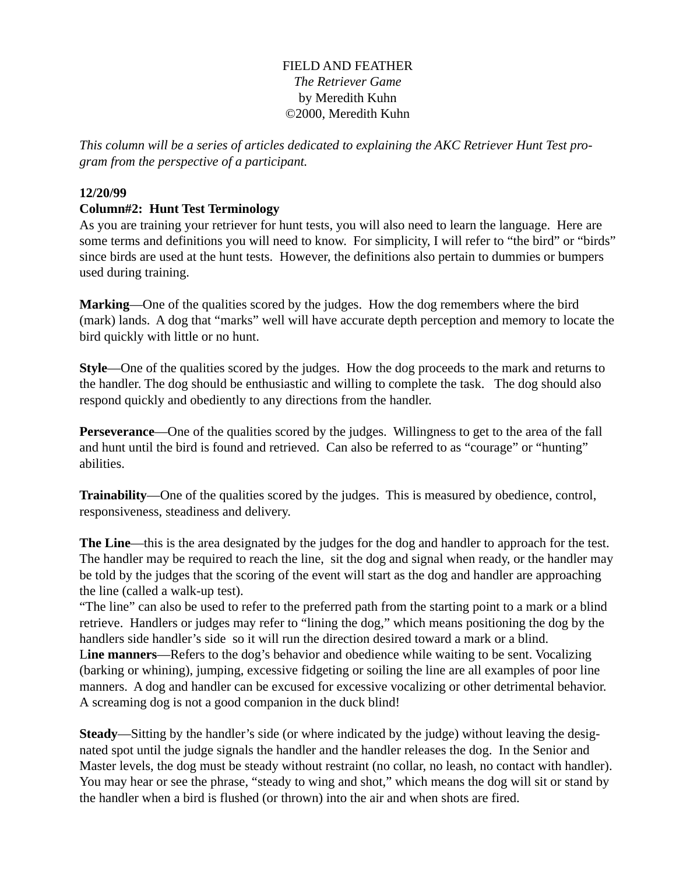## FIELD AND FEATHER *The Retriever Game* by Meredith Kuhn ©2000, Meredith Kuhn

*This column will be a series of articles dedicated to explaining the AKC Retriever Hunt Test program from the perspective of a participant.*

## **12/20/99**

## **Column#2: Hunt Test Terminology**

As you are training your retriever for hunt tests, you will also need to learn the language. Here are some terms and definitions you will need to know. For simplicity, I will refer to "the bird" or "birds" since birds are used at the hunt tests. However, the definitions also pertain to dummies or bumpers used during training.

**Marking**—One of the qualities scored by the judges. How the dog remembers where the bird (mark) lands. A dog that "marks" well will have accurate depth perception and memory to locate the bird quickly with little or no hunt.

**Style**—One of the qualities scored by the judges. How the dog proceeds to the mark and returns to the handler. The dog should be enthusiastic and willing to complete the task. The dog should also respond quickly and obediently to any directions from the handler.

**Perseverance—One** of the qualities scored by the judges. Willingness to get to the area of the fall and hunt until the bird is found and retrieved. Can also be referred to as "courage" or "hunting" abilities.

**Trainability**—One of the qualities scored by the judges. This is measured by obedience, control, responsiveness, steadiness and delivery.

**The Line**—this is the area designated by the judges for the dog and handler to approach for the test. The handler may be required to reach the line, sit the dog and signal when ready, or the handler may be told by the judges that the scoring of the event will start as the dog and handler are approaching the line (called a walk-up test).

"The line" can also be used to refer to the preferred path from the starting point to a mark or a blind retrieve. Handlers or judges may refer to "lining the dog," which means positioning the dog by the handlers side handler's side so it will run the direction desired toward a mark or a blind. L**ine manners**—Refers to the dog's behavior and obedience while waiting to be sent. Vocalizing (barking or whining), jumping, excessive fidgeting or soiling the line are all examples of poor line manners. A dog and handler can be excused for excessive vocalizing or other detrimental behavior. A screaming dog is not a good companion in the duck blind!

**Steady**—Sitting by the handler's side (or where indicated by the judge) without leaving the designated spot until the judge signals the handler and the handler releases the dog. In the Senior and Master levels, the dog must be steady without restraint (no collar, no leash, no contact with handler). You may hear or see the phrase, "steady to wing and shot," which means the dog will sit or stand by the handler when a bird is flushed (or thrown) into the air and when shots are fired.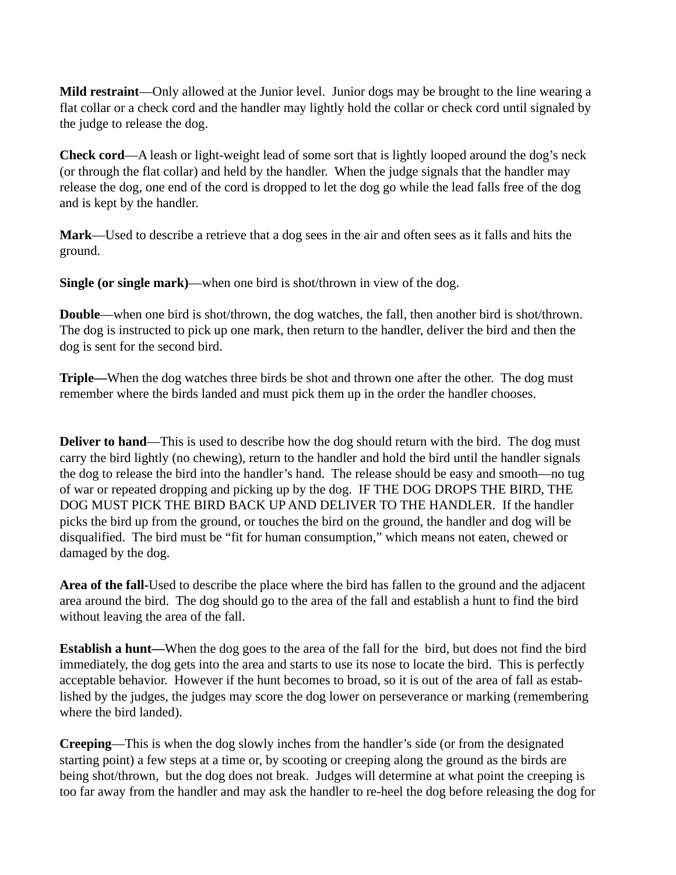**Mild restraint**—Only allowed at the Junior level. Junior dogs may be brought to the line wearing a flat collar or a check cord and the handler may lightly hold the collar or check cord until signaled by the judge to release the dog.

**Check cord**—A leash or light-weight lead of some sort that is lightly looped around the dog's neck (or through the flat collar) and held by the handler. When the judge signals that the handler may release the dog, one end of the cord is dropped to let the dog go while the lead falls free of the dog and is kept by the handler.

**Mark**—Used to describe a retrieve that a dog sees in the air and often sees as it falls and hits the ground.

**Single (or single mark)**—when one bird is shot/thrown in view of the dog.

**Double**—when one bird is shot/thrown, the dog watches, the fall, then another bird is shot/thrown. The dog is instructed to pick up one mark, then return to the handler, deliver the bird and then the dog is sent for the second bird.

**Triple—**When the dog watches three birds be shot and thrown one after the other. The dog must remember where the birds landed and must pick them up in the order the handler chooses.

**Deliver to hand—This is used to describe how the dog should return with the bird. The dog must** carry the bird lightly (no chewing), return to the handler and hold the bird until the handler signals the dog to release the bird into the handler's hand. The release should be easy and smooth—no tug of war or repeated dropping and picking up by the dog. IF THE DOG DROPS THE BIRD, THE DOG MUST PICK THE BIRD BACK UP AND DELIVER TO THE HANDLER. If the handler picks the bird up from the ground, or touches the bird on the ground, the handler and dog will be disqualified. The bird must be "fit for human consumption," which means not eaten, chewed or damaged by the dog.

**Area of the fall-**Used to describe the place where the bird has fallen to the ground and the adjacent area around the bird. The dog should go to the area of the fall and establish a hunt to find the bird without leaving the area of the fall.

**Establish a hunt—**When the dog goes to the area of the fall for the bird, but does not find the bird immediately, the dog gets into the area and starts to use its nose to locate the bird. This is perfectly acceptable behavior. However if the hunt becomes to broad, so it is out of the area of fall as established by the judges, the judges may score the dog lower on perseverance or marking (remembering where the bird landed).

**Creeping**—This is when the dog slowly inches from the handler's side (or from the designated starting point) a few steps at a time or, by scooting or creeping along the ground as the birds are being shot/thrown, but the dog does not break. Judges will determine at what point the creeping is too far away from the handler and may ask the handler to re-heel the dog before releasing the dog for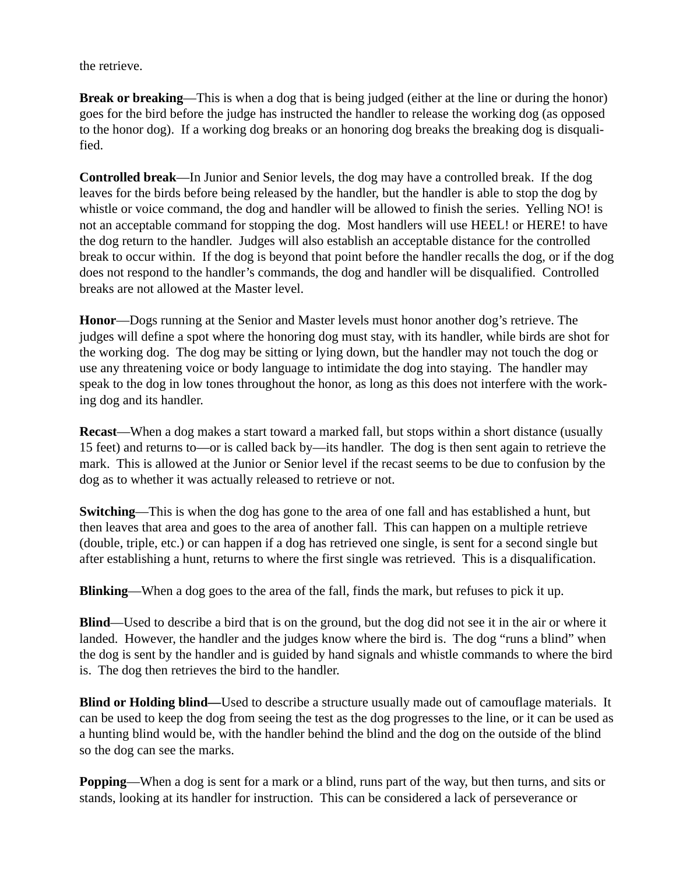the retrieve.

**Break or breaking**—This is when a dog that is being judged (either at the line or during the honor) goes for the bird before the judge has instructed the handler to release the working dog (as opposed to the honor dog). If a working dog breaks or an honoring dog breaks the breaking dog is disqualified.

**Controlled break**—In Junior and Senior levels, the dog may have a controlled break. If the dog leaves for the birds before being released by the handler, but the handler is able to stop the dog by whistle or voice command, the dog and handler will be allowed to finish the series. Yelling NO! is not an acceptable command for stopping the dog. Most handlers will use HEEL! or HERE! to have the dog return to the handler. Judges will also establish an acceptable distance for the controlled break to occur within. If the dog is beyond that point before the handler recalls the dog, or if the dog does not respond to the handler's commands, the dog and handler will be disqualified. Controlled breaks are not allowed at the Master level.

**Honor**—Dogs running at the Senior and Master levels must honor another dog's retrieve. The judges will define a spot where the honoring dog must stay, with its handler, while birds are shot for the working dog. The dog may be sitting or lying down, but the handler may not touch the dog or use any threatening voice or body language to intimidate the dog into staying. The handler may speak to the dog in low tones throughout the honor, as long as this does not interfere with the working dog and its handler.

**Recast**—When a dog makes a start toward a marked fall, but stops within a short distance (usually 15 feet) and returns to—or is called back by—its handler. The dog is then sent again to retrieve the mark. This is allowed at the Junior or Senior level if the recast seems to be due to confusion by the dog as to whether it was actually released to retrieve or not.

**Switching**—This is when the dog has gone to the area of one fall and has established a hunt, but then leaves that area and goes to the area of another fall. This can happen on a multiple retrieve (double, triple, etc.) or can happen if a dog has retrieved one single, is sent for a second single but after establishing a hunt, returns to where the first single was retrieved. This is a disqualification.

**Blinking**—When a dog goes to the area of the fall, finds the mark, but refuses to pick it up.

**Blind**—Used to describe a bird that is on the ground, but the dog did not see it in the air or where it landed. However, the handler and the judges know where the bird is. The dog "runs a blind" when the dog is sent by the handler and is guided by hand signals and whistle commands to where the bird is. The dog then retrieves the bird to the handler.

**Blind or Holding blind—**Used to describe a structure usually made out of camouflage materials. It can be used to keep the dog from seeing the test as the dog progresses to the line, or it can be used as a hunting blind would be, with the handler behind the blind and the dog on the outside of the blind so the dog can see the marks.

**Popping**—When a dog is sent for a mark or a blind, runs part of the way, but then turns, and sits or stands, looking at its handler for instruction. This can be considered a lack of perseverance or